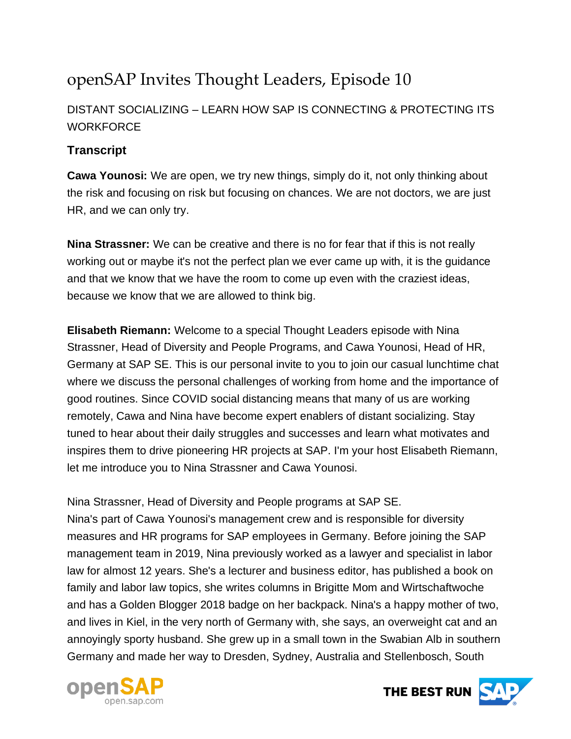# openSAP Invites Thought Leaders, Episode 10

## DISTANT SOCIALIZING – LEARN HOW SAP IS CONNECTING & PROTECTING ITS **WORKFORCE**

### **Transcript**

**Cawa Younosi:** We are open, we try new things, simply do it, not only thinking about the risk and focusing on risk but focusing on chances. We are not doctors, we are just HR, and we can only try.

**Nina Strassner:** We can be creative and there is no for fear that if this is not really working out or maybe it's not the perfect plan we ever came up with, it is the guidance and that we know that we have the room to come up even with the craziest ideas, because we know that we are allowed to think big.

**Elisabeth Riemann:** Welcome to a special Thought Leaders episode with Nina Strassner, Head of Diversity and People Programs, and Cawa Younosi, Head of HR, Germany at SAP SE. This is our personal invite to you to join our casual lunchtime chat where we discuss the personal challenges of working from home and the importance of good routines. Since COVID social distancing means that many of us are working remotely, Cawa and Nina have become expert enablers of distant socializing. Stay tuned to hear about their daily struggles and successes and learn what motivates and inspires them to drive pioneering HR projects at SAP. I'm your host Elisabeth Riemann, let me introduce you to Nina Strassner and Cawa Younosi.

Nina Strassner, Head of Diversity and People programs at SAP SE. Nina's part of Cawa Younosi's management crew and is responsible for diversity measures and HR programs for SAP employees in Germany. Before joining the SAP management team in 2019, Nina previously worked as a lawyer and specialist in labor law for almost 12 years. She's a lecturer and business editor, has published a book on family and labor law topics, she writes columns in Brigitte Mom and Wirtschaftwoche and has a Golden Blogger 2018 badge on her backpack. Nina's a happy mother of two, and lives in Kiel, in the very north of Germany with, she says, an overweight cat and an annoyingly sporty husband. She grew up in a small town in the Swabian Alb in southern Germany and made her way to Dresden, Sydney, Australia and Stellenbosch, South



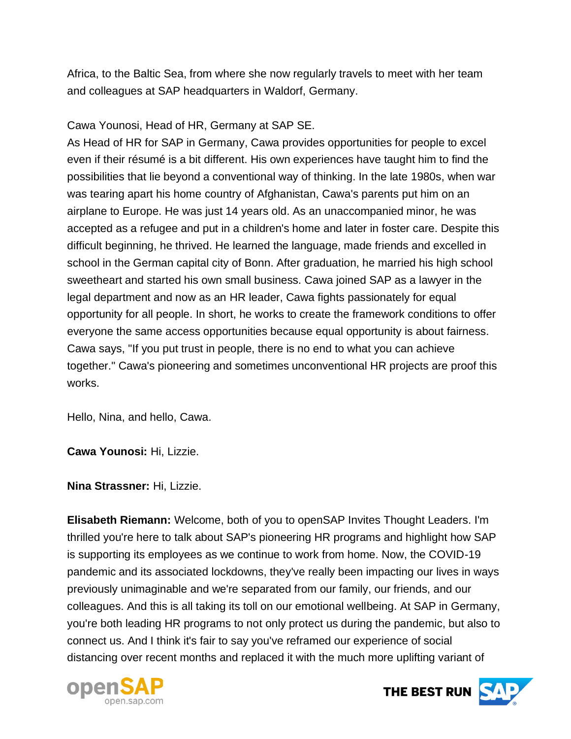Africa, to the Baltic Sea, from where she now regularly travels to meet with her team and colleagues at SAP headquarters in Waldorf, Germany.

#### Cawa Younosi, Head of HR, Germany at SAP SE.

As Head of HR for SAP in Germany, Cawa provides opportunities for people to excel even if their résumé is a bit different. His own experiences have taught him to find the possibilities that lie beyond a conventional way of thinking. In the late 1980s, when war was tearing apart his home country of Afghanistan, Cawa's parents put him on an airplane to Europe. He was just 14 years old. As an unaccompanied minor, he was accepted as a refugee and put in a children's home and later in foster care. Despite this difficult beginning, he thrived. He learned the language, made friends and excelled in school in the German capital city of Bonn. After graduation, he married his high school sweetheart and started his own small business. Cawa joined SAP as a lawyer in the legal department and now as an HR leader, Cawa fights passionately for equal opportunity for all people. In short, he works to create the framework conditions to offer everyone the same access opportunities because equal opportunity is about fairness. Cawa says, "If you put trust in people, there is no end to what you can achieve together." Cawa's pioneering and sometimes unconventional HR projects are proof this works.

Hello, Nina, and hello, Cawa.

**Cawa Younosi:** Hi, Lizzie.

**Nina Strassner:** Hi, Lizzie.

**Elisabeth Riemann:** Welcome, both of you to openSAP Invites Thought Leaders. I'm thrilled you're here to talk about SAP's pioneering HR programs and highlight how SAP is supporting its employees as we continue to work from home. Now, the COVID-19 pandemic and its associated lockdowns, they've really been impacting our lives in ways previously unimaginable and we're separated from our family, our friends, and our colleagues. And this is all taking its toll on our emotional wellbeing. At SAP in Germany, you're both leading HR programs to not only protect us during the pandemic, but also to connect us. And I think it's fair to say you've reframed our experience of social distancing over recent months and replaced it with the much more uplifting variant of



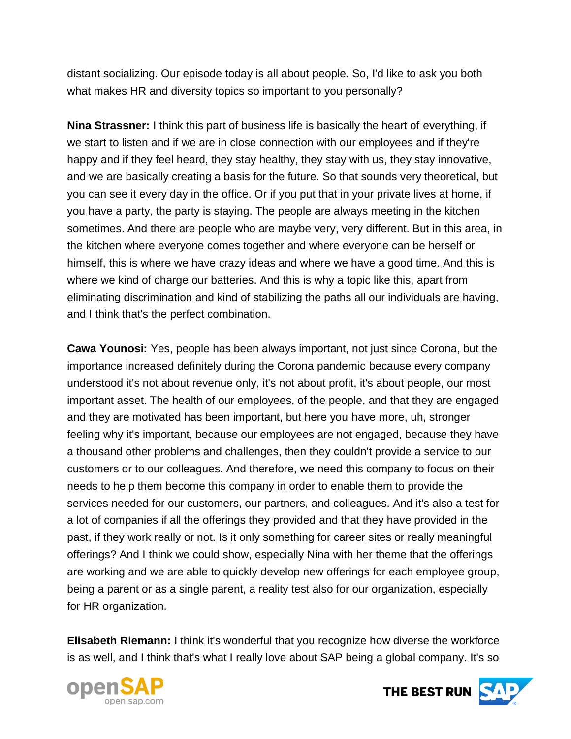distant socializing. Our episode today is all about people. So, I'd like to ask you both what makes HR and diversity topics so important to you personally?

**Nina Strassner:** I think this part of business life is basically the heart of everything, if we start to listen and if we are in close connection with our employees and if they're happy and if they feel heard, they stay healthy, they stay with us, they stay innovative, and we are basically creating a basis for the future. So that sounds very theoretical, but you can see it every day in the office. Or if you put that in your private lives at home, if you have a party, the party is staying. The people are always meeting in the kitchen sometimes. And there are people who are maybe very, very different. But in this area, in the kitchen where everyone comes together and where everyone can be herself or himself, this is where we have crazy ideas and where we have a good time. And this is where we kind of charge our batteries. And this is why a topic like this, apart from eliminating discrimination and kind of stabilizing the paths all our individuals are having, and I think that's the perfect combination.

**Cawa Younosi:** Yes, people has been always important, not just since Corona, but the importance increased definitely during the Corona pandemic because every company understood it's not about revenue only, it's not about profit, it's about people, our most important asset. The health of our employees, of the people, and that they are engaged and they are motivated has been important, but here you have more, uh, stronger feeling why it's important, because our employees are not engaged, because they have a thousand other problems and challenges, then they couldn't provide a service to our customers or to our colleagues. And therefore, we need this company to focus on their needs to help them become this company in order to enable them to provide the services needed for our customers, our partners, and colleagues. And it's also a test for a lot of companies if all the offerings they provided and that they have provided in the past, if they work really or not. Is it only something for career sites or really meaningful offerings? And I think we could show, especially Nina with her theme that the offerings are working and we are able to quickly develop new offerings for each employee group, being a parent or as a single parent, a reality test also for our organization, especially for HR organization.

**Elisabeth Riemann:** I think it's wonderful that you recognize how diverse the workforce is as well, and I think that's what I really love about SAP being a global company. It's so



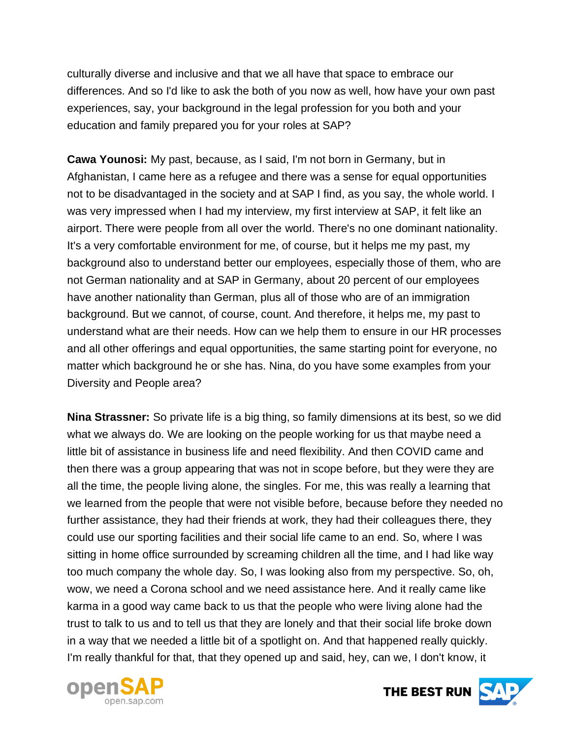culturally diverse and inclusive and that we all have that space to embrace our differences. And so I'd like to ask the both of you now as well, how have your own past experiences, say, your background in the legal profession for you both and your education and family prepared you for your roles at SAP?

**Cawa Younosi:** My past, because, as I said, I'm not born in Germany, but in Afghanistan, I came here as a refugee and there was a sense for equal opportunities not to be disadvantaged in the society and at SAP I find, as you say, the whole world. I was very impressed when I had my interview, my first interview at SAP, it felt like an airport. There were people from all over the world. There's no one dominant nationality. It's a very comfortable environment for me, of course, but it helps me my past, my background also to understand better our employees, especially those of them, who are not German nationality and at SAP in Germany, about 20 percent of our employees have another nationality than German, plus all of those who are of an immigration background. But we cannot, of course, count. And therefore, it helps me, my past to understand what are their needs. How can we help them to ensure in our HR processes and all other offerings and equal opportunities, the same starting point for everyone, no matter which background he or she has. Nina, do you have some examples from your Diversity and People area?

**Nina Strassner:** So private life is a big thing, so family dimensions at its best, so we did what we always do. We are looking on the people working for us that maybe need a little bit of assistance in business life and need flexibility. And then COVID came and then there was a group appearing that was not in scope before, but they were they are all the time, the people living alone, the singles. For me, this was really a learning that we learned from the people that were not visible before, because before they needed no further assistance, they had their friends at work, they had their colleagues there, they could use our sporting facilities and their social life came to an end. So, where I was sitting in home office surrounded by screaming children all the time, and I had like way too much company the whole day. So, I was looking also from my perspective. So, oh, wow, we need a Corona school and we need assistance here. And it really came like karma in a good way came back to us that the people who were living alone had the trust to talk to us and to tell us that they are lonely and that their social life broke down in a way that we needed a little bit of a spotlight on. And that happened really quickly. I'm really thankful for that, that they opened up and said, hey, can we, I don't know, it



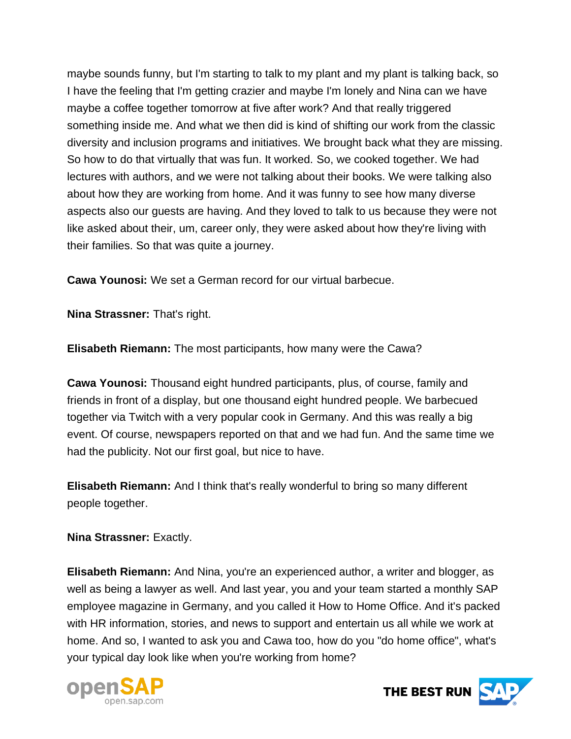maybe sounds funny, but I'm starting to talk to my plant and my plant is talking back, so I have the feeling that I'm getting crazier and maybe I'm lonely and Nina can we have maybe a coffee together tomorrow at five after work? And that really triggered something inside me. And what we then did is kind of shifting our work from the classic diversity and inclusion programs and initiatives. We brought back what they are missing. So how to do that virtually that was fun. It worked. So, we cooked together. We had lectures with authors, and we were not talking about their books. We were talking also about how they are working from home. And it was funny to see how many diverse aspects also our guests are having. And they loved to talk to us because they were not like asked about their, um, career only, they were asked about how they're living with their families. So that was quite a journey.

**Cawa Younosi:** We set a German record for our virtual barbecue.

**Nina Strassner:** That's right.

**Elisabeth Riemann:** The most participants, how many were the Cawa?

**Cawa Younosi:** Thousand eight hundred participants, plus, of course, family and friends in front of a display, but one thousand eight hundred people. We barbecued together via Twitch with a very popular cook in Germany. And this was really a big event. Of course, newspapers reported on that and we had fun. And the same time we had the publicity. Not our first goal, but nice to have.

**Elisabeth Riemann:** And I think that's really wonderful to bring so many different people together.

#### **Nina Strassner:** Exactly.

**Elisabeth Riemann:** And Nina, you're an experienced author, a writer and blogger, as well as being a lawyer as well. And last year, you and your team started a monthly SAP employee magazine in Germany, and you called it How to Home Office. And it's packed with HR information, stories, and news to support and entertain us all while we work at home. And so, I wanted to ask you and Cawa too, how do you "do home office", what's your typical day look like when you're working from home?



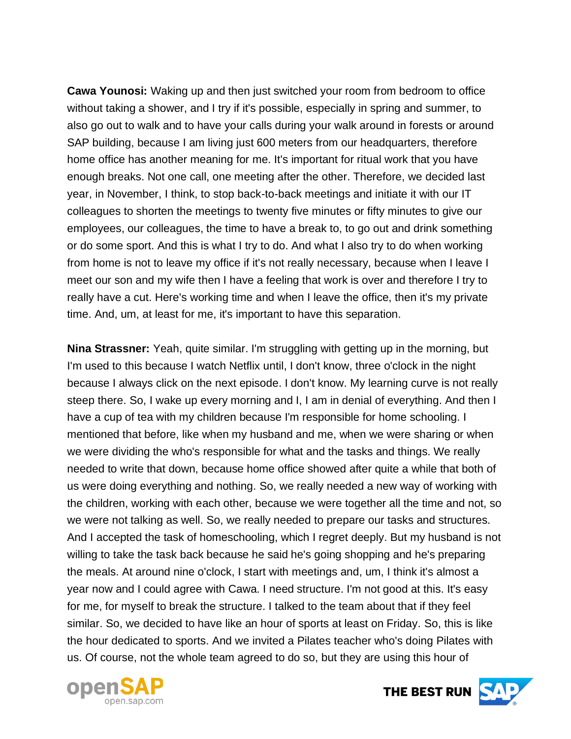**Cawa Younosi:** Waking up and then just switched your room from bedroom to office without taking a shower, and I try if it's possible, especially in spring and summer, to also go out to walk and to have your calls during your walk around in forests or around SAP building, because I am living just 600 meters from our headquarters, therefore home office has another meaning for me. It's important for ritual work that you have enough breaks. Not one call, one meeting after the other. Therefore, we decided last year, in November, I think, to stop back-to-back meetings and initiate it with our IT colleagues to shorten the meetings to twenty five minutes or fifty minutes to give our employees, our colleagues, the time to have a break to, to go out and drink something or do some sport. And this is what I try to do. And what I also try to do when working from home is not to leave my office if it's not really necessary, because when I leave I meet our son and my wife then I have a feeling that work is over and therefore I try to really have a cut. Here's working time and when I leave the office, then it's my private time. And, um, at least for me, it's important to have this separation.

**Nina Strassner:** Yeah, quite similar. I'm struggling with getting up in the morning, but I'm used to this because I watch Netflix until, I don't know, three o'clock in the night because I always click on the next episode. I don't know. My learning curve is not really steep there. So, I wake up every morning and I, I am in denial of everything. And then I have a cup of tea with my children because I'm responsible for home schooling. I mentioned that before, like when my husband and me, when we were sharing or when we were dividing the who's responsible for what and the tasks and things. We really needed to write that down, because home office showed after quite a while that both of us were doing everything and nothing. So, we really needed a new way of working with the children, working with each other, because we were together all the time and not, so we were not talking as well. So, we really needed to prepare our tasks and structures. And I accepted the task of homeschooling, which I regret deeply. But my husband is not willing to take the task back because he said he's going shopping and he's preparing the meals. At around nine o'clock, I start with meetings and, um, I think it's almost a year now and I could agree with Cawa. I need structure. I'm not good at this. It's easy for me, for myself to break the structure. I talked to the team about that if they feel similar. So, we decided to have like an hour of sports at least on Friday. So, this is like the hour dedicated to sports. And we invited a Pilates teacher who's doing Pilates with us. Of course, not the whole team agreed to do so, but they are using this hour of



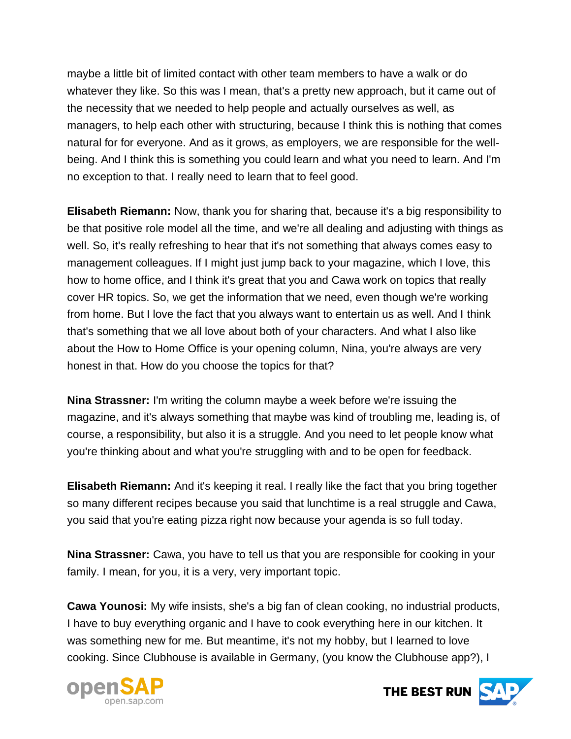maybe a little bit of limited contact with other team members to have a walk or do whatever they like. So this was I mean, that's a pretty new approach, but it came out of the necessity that we needed to help people and actually ourselves as well, as managers, to help each other with structuring, because I think this is nothing that comes natural for for everyone. And as it grows, as employers, we are responsible for the wellbeing. And I think this is something you could learn and what you need to learn. And I'm no exception to that. I really need to learn that to feel good.

**Elisabeth Riemann:** Now, thank you for sharing that, because it's a big responsibility to be that positive role model all the time, and we're all dealing and adjusting with things as well. So, it's really refreshing to hear that it's not something that always comes easy to management colleagues. If I might just jump back to your magazine, which I love, this how to home office, and I think it's great that you and Cawa work on topics that really cover HR topics. So, we get the information that we need, even though we're working from home. But I love the fact that you always want to entertain us as well. And I think that's something that we all love about both of your characters. And what I also like about the How to Home Office is your opening column, Nina, you're always are very honest in that. How do you choose the topics for that?

**Nina Strassner:** I'm writing the column maybe a week before we're issuing the magazine, and it's always something that maybe was kind of troubling me, leading is, of course, a responsibility, but also it is a struggle. And you need to let people know what you're thinking about and what you're struggling with and to be open for feedback.

**Elisabeth Riemann:** And it's keeping it real. I really like the fact that you bring together so many different recipes because you said that lunchtime is a real struggle and Cawa, you said that you're eating pizza right now because your agenda is so full today.

**Nina Strassner:** Cawa, you have to tell us that you are responsible for cooking in your family. I mean, for you, it is a very, very important topic.

**Cawa Younosi:** My wife insists, she's a big fan of clean cooking, no industrial products, I have to buy everything organic and I have to cook everything here in our kitchen. It was something new for me. But meantime, it's not my hobby, but I learned to love cooking. Since Clubhouse is available in Germany, (you know the Clubhouse app?), I



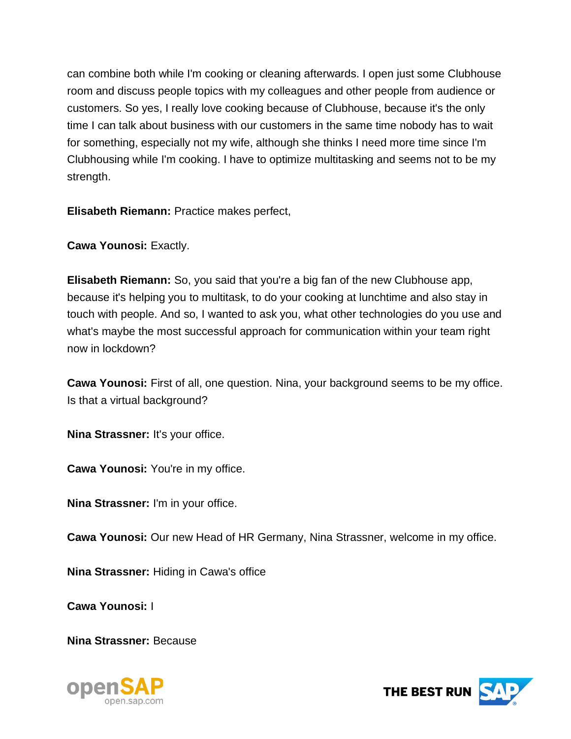can combine both while I'm cooking or cleaning afterwards. I open just some Clubhouse room and discuss people topics with my colleagues and other people from audience or customers. So yes, I really love cooking because of Clubhouse, because it's the only time I can talk about business with our customers in the same time nobody has to wait for something, especially not my wife, although she thinks I need more time since I'm Clubhousing while I'm cooking. I have to optimize multitasking and seems not to be my strength.

**Elisabeth Riemann:** Practice makes perfect,

**Cawa Younosi:** Exactly.

**Elisabeth Riemann:** So, you said that you're a big fan of the new Clubhouse app, because it's helping you to multitask, to do your cooking at lunchtime and also stay in touch with people. And so, I wanted to ask you, what other technologies do you use and what's maybe the most successful approach for communication within your team right now in lockdown?

**Cawa Younosi:** First of all, one question. Nina, your background seems to be my office. Is that a virtual background?

**Nina Strassner: It's your office.** 

**Cawa Younosi:** You're in my office.

**Nina Strassner:** I'm in your office.

**Cawa Younosi:** Our new Head of HR Germany, Nina Strassner, welcome in my office.

**Nina Strassner:** Hiding in Cawa's office

**Cawa Younosi:** I

**Nina Strassner:** Because



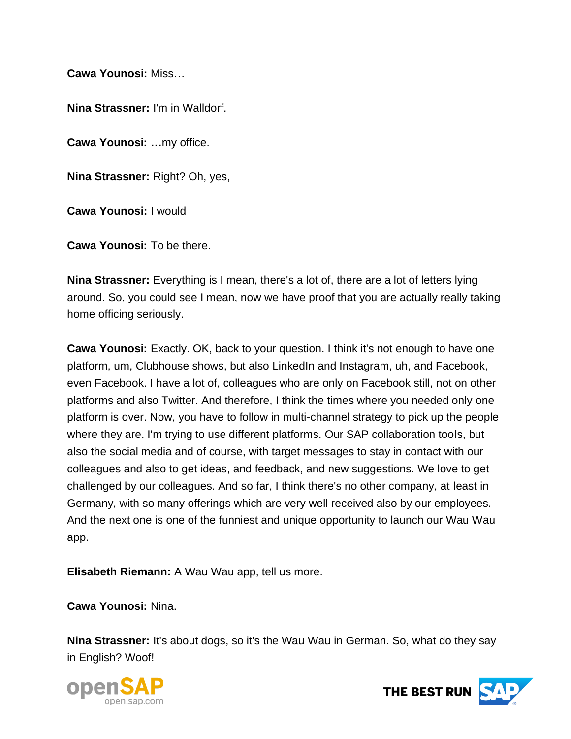**Cawa Younosi:** Miss…

**Nina Strassner:** I'm in Walldorf.

**Cawa Younosi: …**my office.

**Nina Strassner:** Right? Oh, yes,

**Cawa Younosi:** I would

**Cawa Younosi:** To be there.

**Nina Strassner:** Everything is I mean, there's a lot of, there are a lot of letters lying around. So, you could see I mean, now we have proof that you are actually really taking home officing seriously.

**Cawa Younosi:** Exactly. OK, back to your question. I think it's not enough to have one platform, um, Clubhouse shows, but also LinkedIn and Instagram, uh, and Facebook, even Facebook. I have a lot of, colleagues who are only on Facebook still, not on other platforms and also Twitter. And therefore, I think the times where you needed only one platform is over. Now, you have to follow in multi-channel strategy to pick up the people where they are. I'm trying to use different platforms. Our SAP collaboration tools, but also the social media and of course, with target messages to stay in contact with our colleagues and also to get ideas, and feedback, and new suggestions. We love to get challenged by our colleagues. And so far, I think there's no other company, at least in Germany, with so many offerings which are very well received also by our employees. And the next one is one of the funniest and unique opportunity to launch our Wau Wau app.

**Elisabeth Riemann:** A Wau Wau app, tell us more.

**Cawa Younosi:** Nina.

**Nina Strassner:** It's about dogs, so it's the Wau Wau in German. So, what do they say in English? Woof!



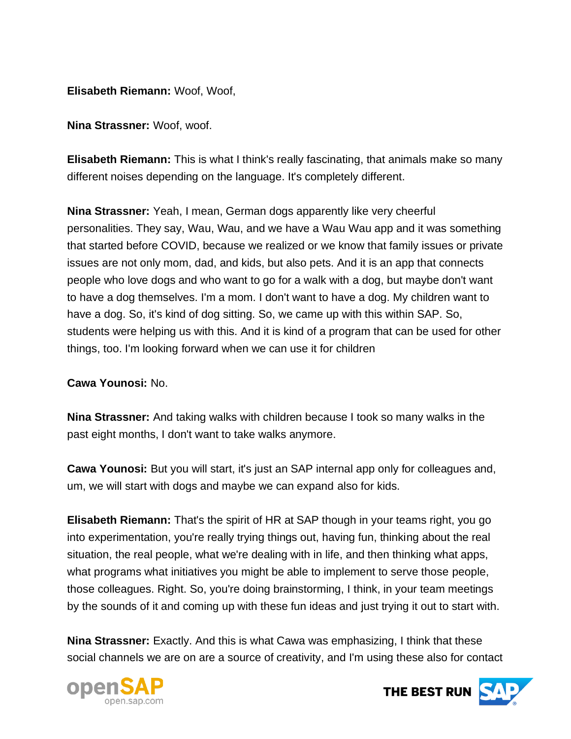**Elisabeth Riemann:** Woof, Woof,

**Nina Strassner:** Woof, woof.

**Elisabeth Riemann:** This is what I think's really fascinating, that animals make so many different noises depending on the language. It's completely different.

**Nina Strassner:** Yeah, I mean, German dogs apparently like very cheerful personalities. They say, Wau, Wau, and we have a Wau Wau app and it was something that started before COVID, because we realized or we know that family issues or private issues are not only mom, dad, and kids, but also pets. And it is an app that connects people who love dogs and who want to go for a walk with a dog, but maybe don't want to have a dog themselves. I'm a mom. I don't want to have a dog. My children want to have a dog. So, it's kind of dog sitting. So, we came up with this within SAP. So, students were helping us with this. And it is kind of a program that can be used for other things, too. I'm looking forward when we can use it for children

#### **Cawa Younosi:** No.

**Nina Strassner:** And taking walks with children because I took so many walks in the past eight months, I don't want to take walks anymore.

**Cawa Younosi:** But you will start, it's just an SAP internal app only for colleagues and, um, we will start with dogs and maybe we can expand also for kids.

**Elisabeth Riemann:** That's the spirit of HR at SAP though in your teams right, you go into experimentation, you're really trying things out, having fun, thinking about the real situation, the real people, what we're dealing with in life, and then thinking what apps, what programs what initiatives you might be able to implement to serve those people, those colleagues. Right. So, you're doing brainstorming, I think, in your team meetings by the sounds of it and coming up with these fun ideas and just trying it out to start with.

**Nina Strassner:** Exactly. And this is what Cawa was emphasizing, I think that these social channels we are on are a source of creativity, and I'm using these also for contact



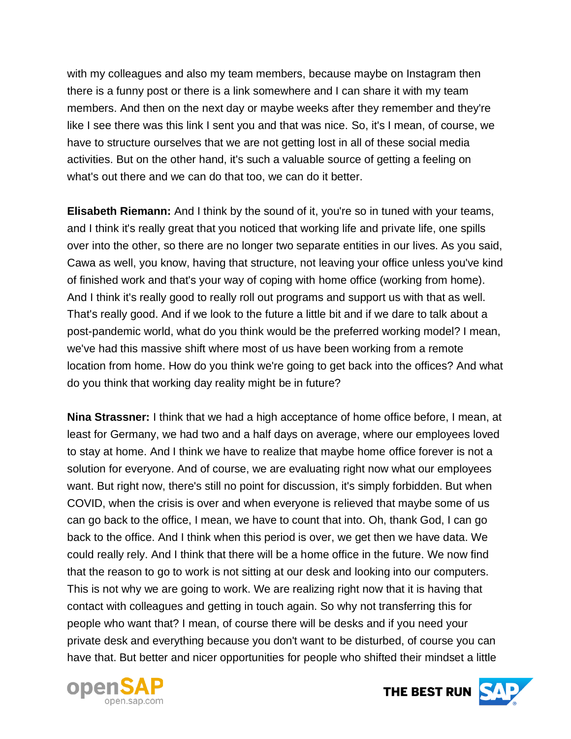with my colleagues and also my team members, because maybe on Instagram then there is a funny post or there is a link somewhere and I can share it with my team members. And then on the next day or maybe weeks after they remember and they're like I see there was this link I sent you and that was nice. So, it's I mean, of course, we have to structure ourselves that we are not getting lost in all of these social media activities. But on the other hand, it's such a valuable source of getting a feeling on what's out there and we can do that too, we can do it better.

**Elisabeth Riemann:** And I think by the sound of it, you're so in tuned with your teams, and I think it's really great that you noticed that working life and private life, one spills over into the other, so there are no longer two separate entities in our lives. As you said, Cawa as well, you know, having that structure, not leaving your office unless you've kind of finished work and that's your way of coping with home office (working from home). And I think it's really good to really roll out programs and support us with that as well. That's really good. And if we look to the future a little bit and if we dare to talk about a post-pandemic world, what do you think would be the preferred working model? I mean, we've had this massive shift where most of us have been working from a remote location from home. How do you think we're going to get back into the offices? And what do you think that working day reality might be in future?

**Nina Strassner:** I think that we had a high acceptance of home office before, I mean, at least for Germany, we had two and a half days on average, where our employees loved to stay at home. And I think we have to realize that maybe home office forever is not a solution for everyone. And of course, we are evaluating right now what our employees want. But right now, there's still no point for discussion, it's simply forbidden. But when COVID, when the crisis is over and when everyone is relieved that maybe some of us can go back to the office, I mean, we have to count that into. Oh, thank God, I can go back to the office. And I think when this period is over, we get then we have data. We could really rely. And I think that there will be a home office in the future. We now find that the reason to go to work is not sitting at our desk and looking into our computers. This is not why we are going to work. We are realizing right now that it is having that contact with colleagues and getting in touch again. So why not transferring this for people who want that? I mean, of course there will be desks and if you need your private desk and everything because you don't want to be disturbed, of course you can have that. But better and nicer opportunities for people who shifted their mindset a little



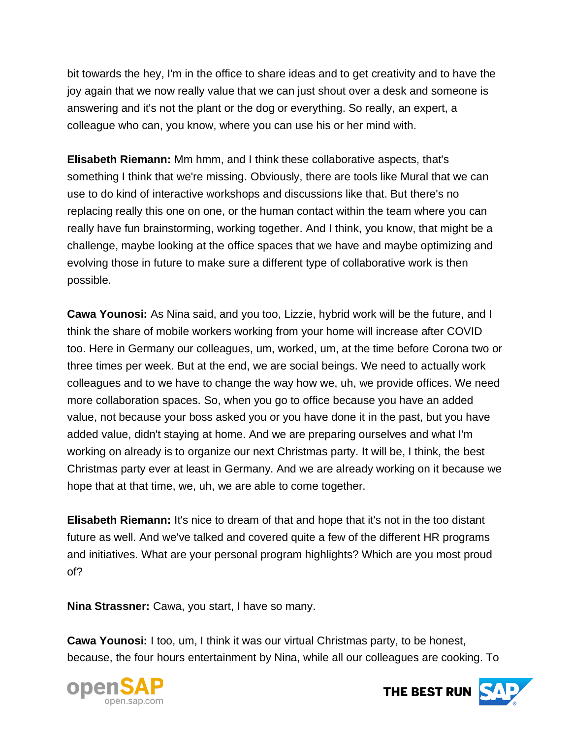bit towards the hey, I'm in the office to share ideas and to get creativity and to have the joy again that we now really value that we can just shout over a desk and someone is answering and it's not the plant or the dog or everything. So really, an expert, a colleague who can, you know, where you can use his or her mind with.

**Elisabeth Riemann:** Mm hmm, and I think these collaborative aspects, that's something I think that we're missing. Obviously, there are tools like Mural that we can use to do kind of interactive workshops and discussions like that. But there's no replacing really this one on one, or the human contact within the team where you can really have fun brainstorming, working together. And I think, you know, that might be a challenge, maybe looking at the office spaces that we have and maybe optimizing and evolving those in future to make sure a different type of collaborative work is then possible.

**Cawa Younosi:** As Nina said, and you too, Lizzie, hybrid work will be the future, and I think the share of mobile workers working from your home will increase after COVID too. Here in Germany our colleagues, um, worked, um, at the time before Corona two or three times per week. But at the end, we are social beings. We need to actually work colleagues and to we have to change the way how we, uh, we provide offices. We need more collaboration spaces. So, when you go to office because you have an added value, not because your boss asked you or you have done it in the past, but you have added value, didn't staying at home. And we are preparing ourselves and what I'm working on already is to organize our next Christmas party. It will be, I think, the best Christmas party ever at least in Germany. And we are already working on it because we hope that at that time, we, uh, we are able to come together.

**Elisabeth Riemann:** It's nice to dream of that and hope that it's not in the too distant future as well. And we've talked and covered quite a few of the different HR programs and initiatives. What are your personal program highlights? Which are you most proud of?

**Nina Strassner:** Cawa, you start, I have so many.

**Cawa Younosi:** I too, um, I think it was our virtual Christmas party, to be honest, because, the four hours entertainment by Nina, while all our colleagues are cooking. To



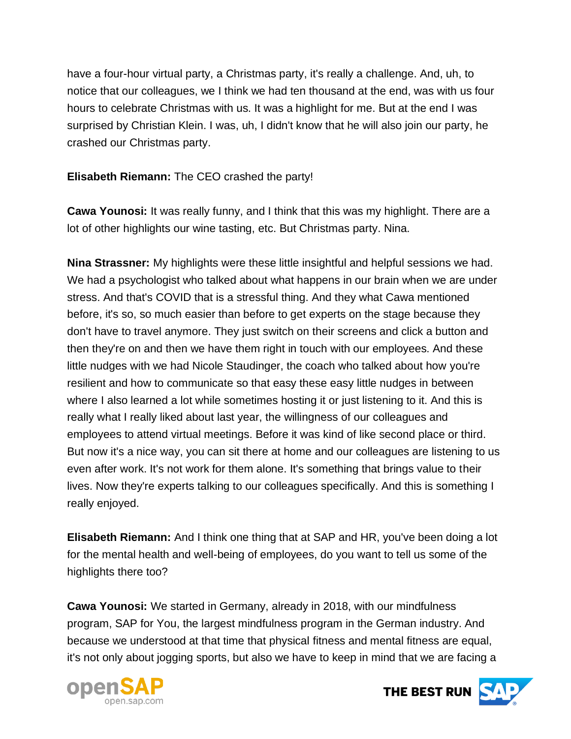have a four-hour virtual party, a Christmas party, it's really a challenge. And, uh, to notice that our colleagues, we I think we had ten thousand at the end, was with us four hours to celebrate Christmas with us. It was a highlight for me. But at the end I was surprised by Christian Klein. I was, uh, I didn't know that he will also join our party, he crashed our Christmas party.

#### **Elisabeth Riemann:** The CEO crashed the party!

**Cawa Younosi:** It was really funny, and I think that this was my highlight. There are a lot of other highlights our wine tasting, etc. But Christmas party. Nina.

**Nina Strassner:** My highlights were these little insightful and helpful sessions we had. We had a psychologist who talked about what happens in our brain when we are under stress. And that's COVID that is a stressful thing. And they what Cawa mentioned before, it's so, so much easier than before to get experts on the stage because they don't have to travel anymore. They just switch on their screens and click a button and then they're on and then we have them right in touch with our employees. And these little nudges with we had Nicole Staudinger, the coach who talked about how you're resilient and how to communicate so that easy these easy little nudges in between where I also learned a lot while sometimes hosting it or just listening to it. And this is really what I really liked about last year, the willingness of our colleagues and employees to attend virtual meetings. Before it was kind of like second place or third. But now it's a nice way, you can sit there at home and our colleagues are listening to us even after work. It's not work for them alone. It's something that brings value to their lives. Now they're experts talking to our colleagues specifically. And this is something I really enjoyed.

**Elisabeth Riemann:** And I think one thing that at SAP and HR, you've been doing a lot for the mental health and well-being of employees, do you want to tell us some of the highlights there too?

**Cawa Younosi:** We started in Germany, already in 2018, with our mindfulness program, SAP for You, the largest mindfulness program in the German industry. And because we understood at that time that physical fitness and mental fitness are equal, it's not only about jogging sports, but also we have to keep in mind that we are facing a



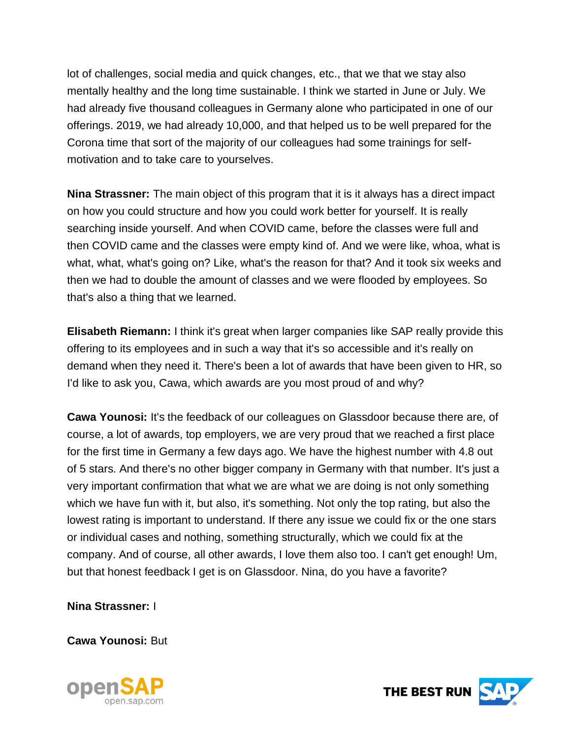lot of challenges, social media and quick changes, etc., that we that we stay also mentally healthy and the long time sustainable. I think we started in June or July. We had already five thousand colleagues in Germany alone who participated in one of our offerings. 2019, we had already 10,000, and that helped us to be well prepared for the Corona time that sort of the majority of our colleagues had some trainings for selfmotivation and to take care to yourselves.

**Nina Strassner:** The main object of this program that it is it always has a direct impact on how you could structure and how you could work better for yourself. It is really searching inside yourself. And when COVID came, before the classes were full and then COVID came and the classes were empty kind of. And we were like, whoa, what is what, what, what's going on? Like, what's the reason for that? And it took six weeks and then we had to double the amount of classes and we were flooded by employees. So that's also a thing that we learned.

**Elisabeth Riemann:** I think it's great when larger companies like SAP really provide this offering to its employees and in such a way that it's so accessible and it's really on demand when they need it. There's been a lot of awards that have been given to HR, so I'd like to ask you, Cawa, which awards are you most proud of and why?

**Cawa Younosi:** It's the feedback of our colleagues on Glassdoor because there are, of course, a lot of awards, top employers, we are very proud that we reached a first place for the first time in Germany a few days ago. We have the highest number with 4.8 out of 5 stars. And there's no other bigger company in Germany with that number. It's just a very important confirmation that what we are what we are doing is not only something which we have fun with it, but also, it's something. Not only the top rating, but also the lowest rating is important to understand. If there any issue we could fix or the one stars or individual cases and nothing, something structurally, which we could fix at the company. And of course, all other awards, I love them also too. I can't get enough! Um, but that honest feedback I get is on Glassdoor. Nina, do you have a favorite?

**Nina Strassner:** I

**Cawa Younosi:** But



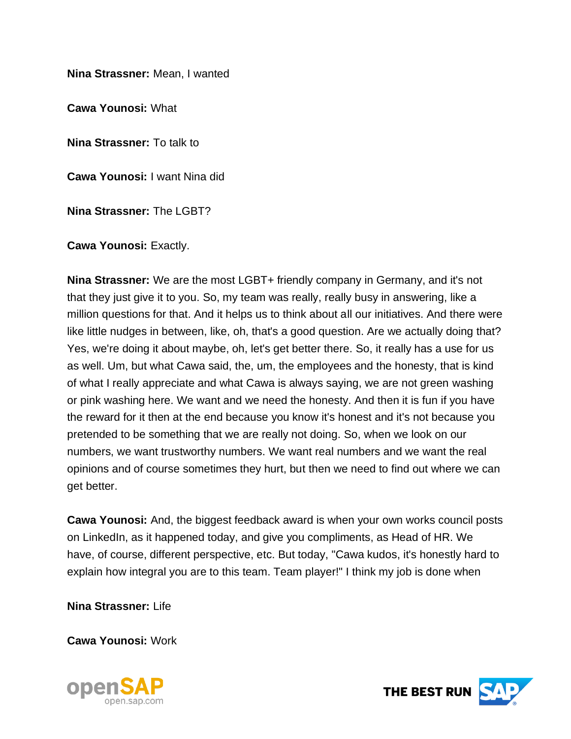**Nina Strassner:** Mean, I wanted

**Cawa Younosi:** What

**Nina Strassner:** To talk to

**Cawa Younosi:** I want Nina did

**Nina Strassner:** The LGBT?

**Cawa Younosi:** Exactly.

**Nina Strassner:** We are the most LGBT+ friendly company in Germany, and it's not that they just give it to you. So, my team was really, really busy in answering, like a million questions for that. And it helps us to think about all our initiatives. And there were like little nudges in between, like, oh, that's a good question. Are we actually doing that? Yes, we're doing it about maybe, oh, let's get better there. So, it really has a use for us as well. Um, but what Cawa said, the, um, the employees and the honesty, that is kind of what I really appreciate and what Cawa is always saying, we are not green washing or pink washing here. We want and we need the honesty. And then it is fun if you have the reward for it then at the end because you know it's honest and it's not because you pretended to be something that we are really not doing. So, when we look on our numbers, we want trustworthy numbers. We want real numbers and we want the real opinions and of course sometimes they hurt, but then we need to find out where we can get better.

**Cawa Younosi:** And, the biggest feedback award is when your own works council posts on LinkedIn, as it happened today, and give you compliments, as Head of HR. We have, of course, different perspective, etc. But today, "Cawa kudos, it's honestly hard to explain how integral you are to this team. Team player!" I think my job is done when

**Nina Strassner:** Life

**Cawa Younosi:** Work



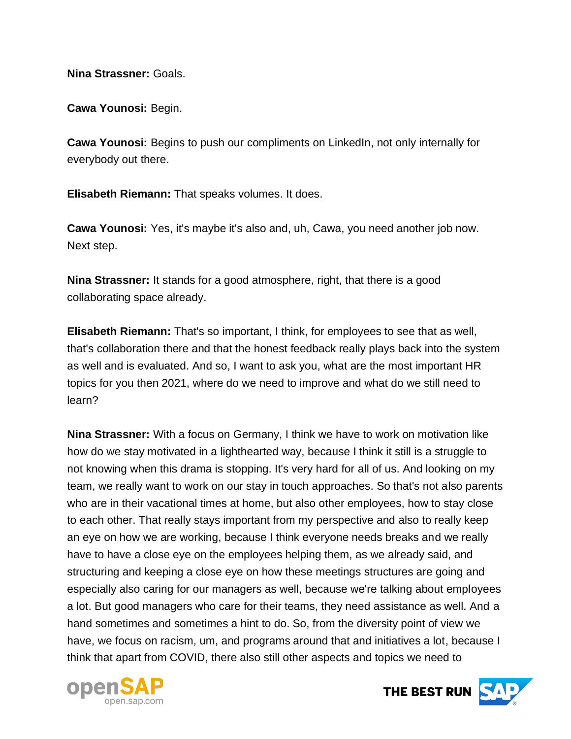**Nina Strassner:** Goals.

**Cawa Younosi:** Begin.

**Cawa Younosi:** Begins to push our compliments on LinkedIn, not only internally for everybody out there.

**Elisabeth Riemann:** That speaks volumes. It does.

**Cawa Younosi:** Yes, it's maybe it's also and, uh, Cawa, you need another job now. Next step.

**Nina Strassner:** It stands for a good atmosphere, right, that there is a good collaborating space already.

**Elisabeth Riemann:** That's so important, I think, for employees to see that as well, that's collaboration there and that the honest feedback really plays back into the system as well and is evaluated. And so, I want to ask you, what are the most important HR topics for you then 2021, where do we need to improve and what do we still need to learn?

**Nina Strassner:** With a focus on Germany, I think we have to work on motivation like how do we stay motivated in a lighthearted way, because I think it still is a struggle to not knowing when this drama is stopping. It's very hard for all of us. And looking on my team, we really want to work on our stay in touch approaches. So that's not also parents who are in their vacational times at home, but also other employees, how to stay close to each other. That really stays important from my perspective and also to really keep an eye on how we are working, because I think everyone needs breaks and we really have to have a close eye on the employees helping them, as we already said, and structuring and keeping a close eye on how these meetings structures are going and especially also caring for our managers as well, because we're talking about employees a lot. But good managers who care for their teams, they need assistance as well. And a hand sometimes and sometimes a hint to do. So, from the diversity point of view we have, we focus on racism, um, and programs around that and initiatives a lot, because I think that apart from COVID, there also still other aspects and topics we need to



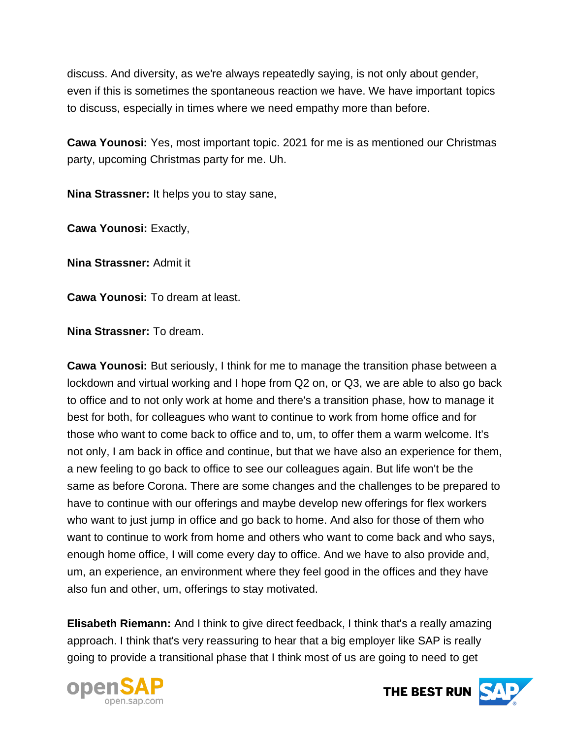discuss. And diversity, as we're always repeatedly saying, is not only about gender, even if this is sometimes the spontaneous reaction we have. We have important topics to discuss, especially in times where we need empathy more than before.

**Cawa Younosi:** Yes, most important topic. 2021 for me is as mentioned our Christmas party, upcoming Christmas party for me. Uh.

**Nina Strassner:** It helps you to stay sane,

**Cawa Younosi:** Exactly,

**Nina Strassner:** Admit it

**Cawa Younosi:** To dream at least.

**Nina Strassner:** To dream.

**Cawa Younosi:** But seriously, I think for me to manage the transition phase between a lockdown and virtual working and I hope from Q2 on, or Q3, we are able to also go back to office and to not only work at home and there's a transition phase, how to manage it best for both, for colleagues who want to continue to work from home office and for those who want to come back to office and to, um, to offer them a warm welcome. It's not only, I am back in office and continue, but that we have also an experience for them, a new feeling to go back to office to see our colleagues again. But life won't be the same as before Corona. There are some changes and the challenges to be prepared to have to continue with our offerings and maybe develop new offerings for flex workers who want to just jump in office and go back to home. And also for those of them who want to continue to work from home and others who want to come back and who says, enough home office, I will come every day to office. And we have to also provide and, um, an experience, an environment where they feel good in the offices and they have also fun and other, um, offerings to stay motivated.

**Elisabeth Riemann:** And I think to give direct feedback, I think that's a really amazing approach. I think that's very reassuring to hear that a big employer like SAP is really going to provide a transitional phase that I think most of us are going to need to get



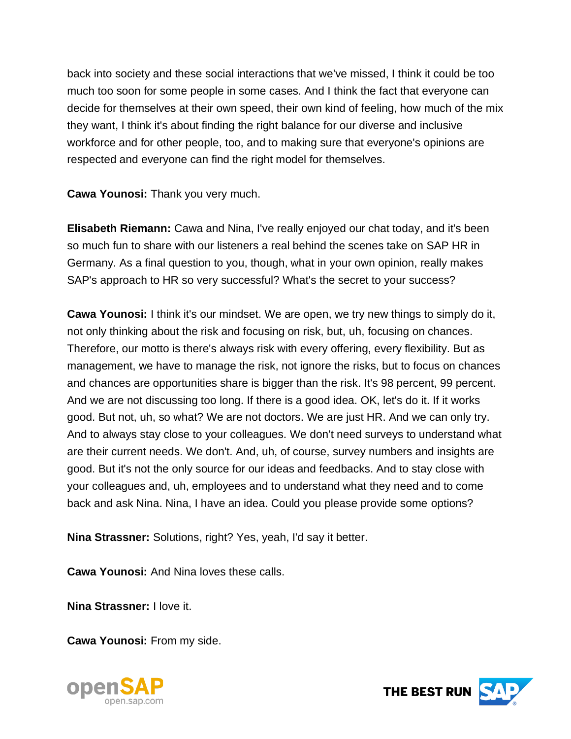back into society and these social interactions that we've missed, I think it could be too much too soon for some people in some cases. And I think the fact that everyone can decide for themselves at their own speed, their own kind of feeling, how much of the mix they want, I think it's about finding the right balance for our diverse and inclusive workforce and for other people, too, and to making sure that everyone's opinions are respected and everyone can find the right model for themselves.

**Cawa Younosi:** Thank you very much.

**Elisabeth Riemann:** Cawa and Nina, I've really enjoyed our chat today, and it's been so much fun to share with our listeners a real behind the scenes take on SAP HR in Germany. As a final question to you, though, what in your own opinion, really makes SAP's approach to HR so very successful? What's the secret to your success?

**Cawa Younosi:** I think it's our mindset. We are open, we try new things to simply do it, not only thinking about the risk and focusing on risk, but, uh, focusing on chances. Therefore, our motto is there's always risk with every offering, every flexibility. But as management, we have to manage the risk, not ignore the risks, but to focus on chances and chances are opportunities share is bigger than the risk. It's 98 percent, 99 percent. And we are not discussing too long. If there is a good idea. OK, let's do it. If it works good. But not, uh, so what? We are not doctors. We are just HR. And we can only try. And to always stay close to your colleagues. We don't need surveys to understand what are their current needs. We don't. And, uh, of course, survey numbers and insights are good. But it's not the only source for our ideas and feedbacks. And to stay close with your colleagues and, uh, employees and to understand what they need and to come back and ask Nina. Nina, I have an idea. Could you please provide some options?

**Nina Strassner:** Solutions, right? Yes, yeah, I'd say it better.

**Cawa Younosi:** And Nina loves these calls.

**Nina Strassner:** I love it.

**Cawa Younosi:** From my side.



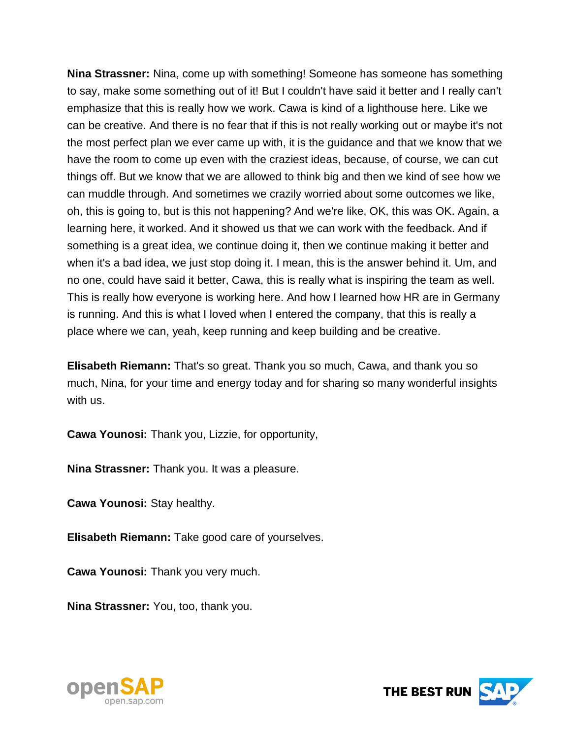**Nina Strassner:** Nina, come up with something! Someone has someone has something to say, make some something out of it! But I couldn't have said it better and I really can't emphasize that this is really how we work. Cawa is kind of a lighthouse here. Like we can be creative. And there is no fear that if this is not really working out or maybe it's not the most perfect plan we ever came up with, it is the guidance and that we know that we have the room to come up even with the craziest ideas, because, of course, we can cut things off. But we know that we are allowed to think big and then we kind of see how we can muddle through. And sometimes we crazily worried about some outcomes we like, oh, this is going to, but is this not happening? And we're like, OK, this was OK. Again, a learning here, it worked. And it showed us that we can work with the feedback. And if something is a great idea, we continue doing it, then we continue making it better and when it's a bad idea, we just stop doing it. I mean, this is the answer behind it. Um, and no one, could have said it better, Cawa, this is really what is inspiring the team as well. This is really how everyone is working here. And how I learned how HR are in Germany is running. And this is what I loved when I entered the company, that this is really a place where we can, yeah, keep running and keep building and be creative.

**Elisabeth Riemann:** That's so great. Thank you so much, Cawa, and thank you so much, Nina, for your time and energy today and for sharing so many wonderful insights with us.

**Cawa Younosi:** Thank you, Lizzie, for opportunity,

**Nina Strassner:** Thank you. It was a pleasure.

**Cawa Younosi:** Stay healthy.

**Elisabeth Riemann:** Take good care of yourselves.

**Cawa Younosi:** Thank you very much.

**Nina Strassner:** You, too, thank you.